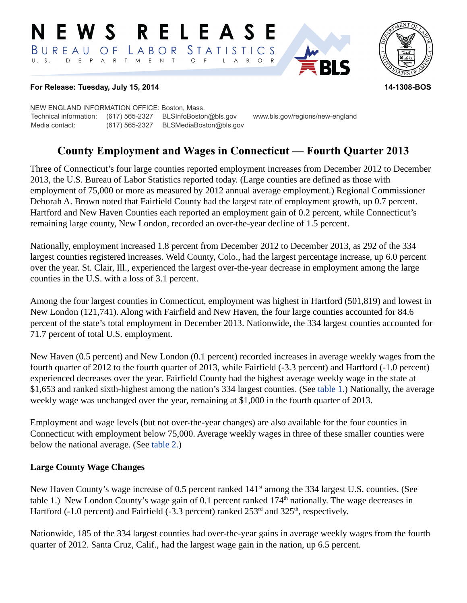#### RELEASE **N E W S** LABOR STATISTICS BUREAU OF D E P A R T M E N T  $\circ$  $\overline{F}$  $\overline{A}$  $B$  $\circ$ L



#### **For Release: Tuesday, July 15, 2014 14-1308-BOS**

NEW ENGLAND INFORMATION OFFICE: Boston, Mass. Technical information: (617) 565-2327 BLSInfoBoston@bls.gov www.bls.gov/regions/new-england Media contact: (617) 565-2327 BLSMediaBoston@bls.gov

# **County Employment and Wages in Connecticut — Fourth Quarter 2013**

Three of Connecticut's four large counties reported employment increases from December 2012 to December 2013, the U.S. Bureau of Labor Statistics reported today. (Large counties are defined as those with employment of 75,000 or more as measured by 2012 annual average employment.) Regional Commissioner Deborah A. Brown noted that Fairfield County had the largest rate of employment growth, up 0.7 percent. Hartford and New Haven Counties each reported an employment gain of 0.2 percent, while Connecticut's remaining large county, New London, recorded an over-the-year decline of 1.5 percent.

Nationally, employment increased 1.8 percent from December 2012 to December 2013, as 292 of the 334 largest counties registered increases. Weld County, Colo., had the largest percentage increase, up 6.0 percent over the year. St. Clair, Ill., experienced the largest over-the-year decrease in employment among the large counties in the U.S. with a loss of 3.1 percent.

Among the four largest counties in Connecticut, employment was highest in Hartford (501,819) and lowest in New London (121,741). Along with Fairfield and New Haven, the four large counties accounted for 84.6 percent of the state's total employment in December 2013. Nationwide, the 334 largest counties accounted for 71.7 percent of total U.S. employment.

New Haven (0.5 percent) and New London (0.1 percent) recorded increases in average weekly wages from the fourth quarter of 2012 to the fourth quarter of 2013, while Fairfield (-3.3 percent) and Hartford (-1.0 percent) experienced decreases over the year. Fairfield County had the highest average weekly wage in the state at \$1,653 and ranked sixth-highest among the nation's 334 largest counties. (See [table 1.](#page-3-0)) Nationally, the average weekly wage was unchanged over the year, remaining at \$1,000 in the fourth quarter of 2013.

Employment and wage levels (but not over-the-year changes) are also available for the four counties in Connecticut with employment below 75,000. Average weekly wages in three of these smaller counties were below the national average. (See [table 2.](#page-4-0))

## **Large County Wage Changes**

New Haven County's wage increase of 0.5 percent ranked 141<sup>st</sup> among the 334 largest U.S. counties. (See table 1.) New London County's wage gain of 0.1 percent ranked  $174<sup>th</sup>$  nationally. The wage decreases in Hartford (-1.0 percent) and Fairfield (-3.3 percent) ranked  $253<sup>rd</sup>$  and  $325<sup>th</sup>$ , respectively.

Nationwide, 185 of the 334 largest counties had over-the-year gains in average weekly wages from the fourth quarter of 2012. Santa Cruz, Calif., had the largest wage gain in the nation, up 6.5 percent.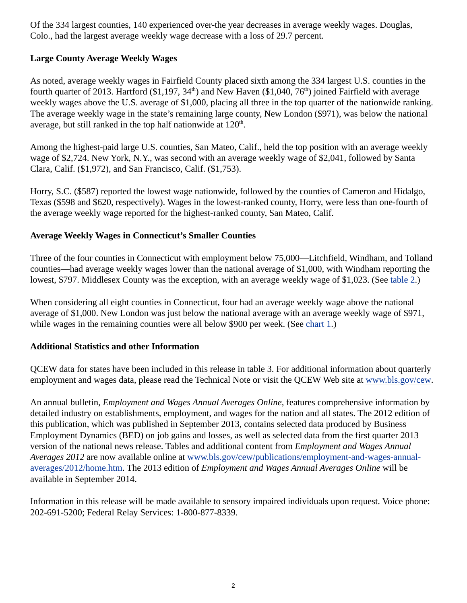Of the 334 largest counties, 140 experienced over-the year decreases in average weekly wages. Douglas, Colo., had the largest average weekly wage decrease with a loss of 29.7 percent.

## **Large County Average Weekly Wages**

As noted, average weekly wages in Fairfield County placed sixth among the 334 largest U.S. counties in the fourth quarter of 2013. Hartford (\$1,197, 34<sup>th</sup>) and New Haven (\$1,040, 76<sup>th</sup>) joined Fairfield with average weekly wages above the U.S. average of \$1,000, placing all three in the top quarter of the nationwide ranking. The average weekly wage in the state's remaining large county, New London (\$971), was below the national average, but still ranked in the top half nationwide at  $120<sup>th</sup>$ .

Among the highest-paid large U.S. counties, San Mateo, Calif., held the top position with an average weekly wage of \$2,724. New York, N.Y., was second with an average weekly wage of \$2,041, followed by Santa Clara, Calif. (\$1,972), and San Francisco, Calif. (\$1,753).

Horry, S.C. (\$587) reported the lowest wage nationwide, followed by the counties of Cameron and Hidalgo, Texas (\$598 and \$620, respectively). Wages in the lowest-ranked county, Horry, were less than one-fourth of the average weekly wage reported for the highest-ranked county, San Mateo, Calif.

## **Average Weekly Wages in Connecticut's Smaller Counties**

Three of the four counties in Connecticut with employment below 75,000—Litchfield, Windham, and Tolland counties—had average weekly wages lower than the national average of \$1,000, with Windham reporting the lowest, \$797. Middlesex County was the exception, with an average weekly wage of \$1,023. (See [table 2](#page-4-0).)

When considering all eight counties in Connecticut, four had an average weekly wage above the national average of \$1,000. New London was just below the national average with an average weekly wage of \$971, while wages in the remaining counties were all below \$900 per week. (See [chart 1](#page-6-0).)

## **Additional Statistics and other Information**

QCEW data for states have been included in this release in table 3. For additional information about quarterly employment and wages data, please read the Technical Note or visit the QCEW Web site at [www.bls.gov/cew](https://www.bls.gov/cew/publications/employment-and-wages-annual-averages/2012/home.htm).

An annual bulletin, *Employment and Wages Annual Averages Online*, features comprehensive information by detailed industry on establishments, employment, and wages for the nation and all states. The 2012 edition of this publication, which was published in September 2013, contains selected data produced by Business Employment Dynamics (BED) on job gains and losses, as well as selected data from the first quarter 2013 version of the national news release. Tables and additional content from *Employment and Wages Annual Averages 2012* are now available online at [www.bls.gov/cew/publications/employment-and-wages-annual](https://www.bls.gov/cew/publications/employment-and-wages-annual-averages/2012/home.htm)[averages/2012/home.htm.](https://www.bls.gov/cew/publications/employment-and-wages-annual-averages/2012/home.htm) The 2013 edition of *Employment and Wages Annual Averages Online* will be available in September 2014.

Information in this release will be made available to sensory impaired individuals upon request. Voice phone: 202-691-5200; Federal Relay Services: 1-800-877-8339.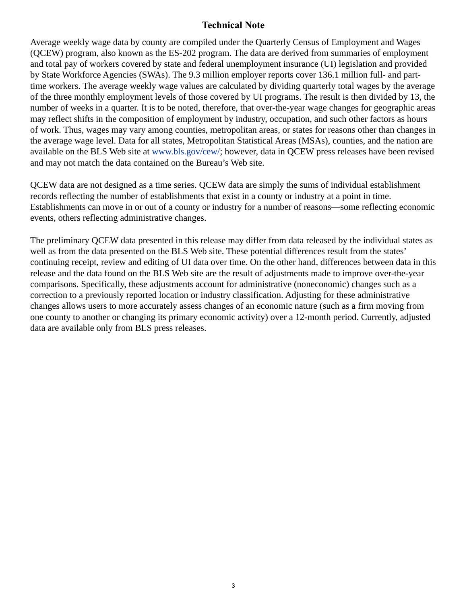# **Technical Note**

Average weekly wage data by county are compiled under the Quarterly Census of Employment and Wages (QCEW) program, also known as the ES-202 program. The data are derived from summaries of employment and total pay of workers covered by state and federal unemployment insurance (UI) legislation and provided by State Workforce Agencies (SWAs). The 9.3 million employer reports cover 136.1 million full- and parttime workers. The average weekly wage values are calculated by dividing quarterly total wages by the average of the three monthly employment levels of those covered by UI programs. The result is then divided by 13, the number of weeks in a quarter. It is to be noted, therefore, that over-the-year wage changes for geographic areas may reflect shifts in the composition of employment by industry, occupation, and such other factors as hours of work. Thus, wages may vary among counties, metropolitan areas, or states for reasons other than changes in the average wage level. Data for all states, Metropolitan Statistical Areas (MSAs), counties, and the nation are available on the BLS Web site at [www.bls.gov/cew/](https://www.bls.gov/cew/); however, data in QCEW press releases have been revised and may not match the data contained on the Bureau's Web site.

QCEW data are not designed as a time series. QCEW data are simply the sums of individual establishment records reflecting the number of establishments that exist in a county or industry at a point in time. Establishments can move in or out of a county or industry for a number of reasons—some reflecting economic events, others reflecting administrative changes.

The preliminary QCEW data presented in this release may differ from data released by the individual states as well as from the data presented on the BLS Web site. These potential differences result from the states' continuing receipt, review and editing of UI data over time. On the other hand, differences between data in this release and the data found on the BLS Web site are the result of adjustments made to improve over-the-year comparisons. Specifically, these adjustments account for administrative (noneconomic) changes such as a correction to a previously reported location or industry classification. Adjusting for these administrative changes allows users to more accurately assess changes of an economic nature (such as a firm moving from one county to another or changing its primary economic activity) over a 12-month period. Currently, adjusted data are available only from BLS press releases.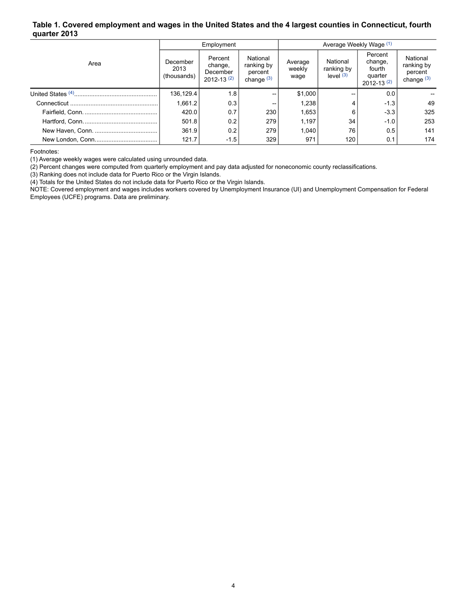#### <span id="page-3-0"></span>**Table 1. Covered employment and wages in the United States and the 4 largest counties in Connecticut, fourth quarter 2013**

|      |                                 | Employment                                       |                                                   | Average Weekly Wage (1)   |                                       |                                                              |                                                   |
|------|---------------------------------|--------------------------------------------------|---------------------------------------------------|---------------------------|---------------------------------------|--------------------------------------------------------------|---------------------------------------------------|
| Area | December<br>2013<br>(thousands) | Percent<br>change,<br>December<br>$2012 - 13(2)$ | National<br>ranking by<br>percent<br>change $(3)$ | Average<br>weekly<br>wage | National<br>ranking by<br>level $(3)$ | Percent<br>change,<br>fourth<br>quarter<br>$2012 - 13^{(2)}$ | National<br>ranking by<br>percent<br>change $(3)$ |
|      | 136,129.4                       | 1.8                                              | --                                                | \$1,000                   | --                                    | 0.0                                                          |                                                   |
|      | 1.661.2                         | 0.3                                              | --                                                | 1.238                     |                                       | $-1.3$                                                       | 49                                                |
|      | 420.0                           | 0.7                                              | 230                                               | 1,653                     | 6                                     | $-3.3$                                                       | 325                                               |
|      | 501.8                           | 0.2                                              | 279                                               | 1,197                     | 34                                    | $-1.0$                                                       | 253                                               |
|      | 361.9                           | 0.2                                              | 279                                               | 1.040                     | 76                                    | 0.5                                                          | 141                                               |
|      | 121.7                           | $-1.5$                                           | 329                                               | 971                       | 120                                   | 0.1                                                          | 174                                               |

<span id="page-3-1"></span>Footnotes:

(1) Average weekly wages were calculated using unrounded data.

(2) Percent changes were computed from quarterly employment and pay data adjusted for noneconomic county reclassifications.

(3) Ranking does not include data for Puerto Rico or the Virgin Islands.

(4) Totals for the United States do not include data for Puerto Rico or the Virgin Islands.

NOTE: Covered employment and wages includes workers covered by Unemployment Insurance (UI) and Unemployment Compensation for Federal Employees (UCFE) programs. Data are preliminary.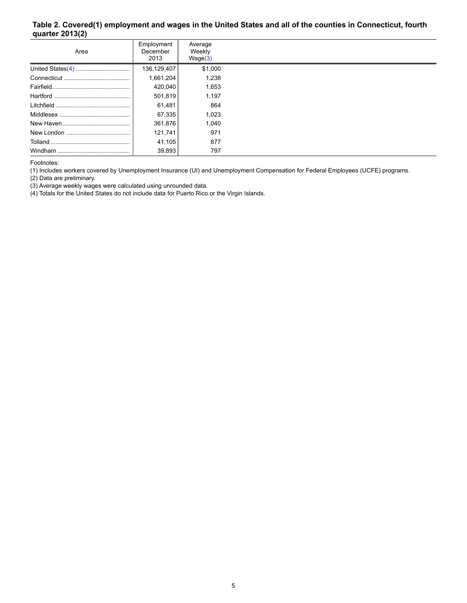#### <span id="page-4-0"></span>**Table 2. Covered(1) employment and wages in the United States and all of the counties in Connecticut, fourth quarter 2013(2)**

| Area    | Employment<br>December<br>2013 | Average<br>Weekly<br>Wage(3) |  |
|---------|--------------------------------|------------------------------|--|
|         | 136,129,407                    | \$1,000                      |  |
|         | 1,661,204                      | 1.238                        |  |
|         | 420,040                        | 1,653                        |  |
|         | 501,819                        | 1.197                        |  |
|         | 61,481                         | 864                          |  |
|         | 67,335                         | 1.023                        |  |
|         | 361,876                        | 1.040                        |  |
|         | 121,741                        | 971                          |  |
|         | 41,105                         | 877                          |  |
| Windham | 39,893                         | 797                          |  |

Footnotes:

(1) Includes workers covered by Unemployment Insurance (UI) and Unemployment Compensation for Federal Employees (UCFE) programs.

(2) Data are preliminary.

<span id="page-4-1"></span>(3) Average weekly wages were calculated using unrounded data.

<span id="page-4-2"></span>(4) Totals for the United States do not include data for Puerto Rico or the Virgin Islands.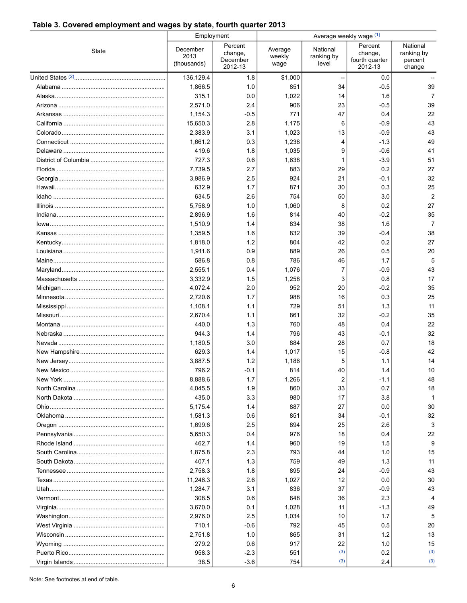#### **Table 3. Covered employment and wages by state, fourth quarter 2013**

|       | Employment                      |                                           | Average weekly wage (1)   |                                 |                                                 |                                             |  |
|-------|---------------------------------|-------------------------------------------|---------------------------|---------------------------------|-------------------------------------------------|---------------------------------------------|--|
| State | December<br>2013<br>(thousands) | Percent<br>change,<br>December<br>2012-13 | Average<br>weekly<br>wage | National<br>ranking by<br>level | Percent<br>change,<br>fourth quarter<br>2012-13 | National<br>ranking by<br>percent<br>change |  |
|       | 136,129.4                       | 1.8                                       | \$1,000                   |                                 | 0.0                                             |                                             |  |
|       | 1,866.5                         | 1.0                                       | 851                       | 34                              | $-0.5$                                          | 39                                          |  |
|       | 315.1                           | 0.0                                       | 1,022                     | 14                              | 1.6                                             | 7                                           |  |
|       | 2,571.0                         | 2.4                                       | 906                       | 23                              | $-0.5$                                          | 39                                          |  |
|       | 1,154.3                         | -0.5                                      | 771                       | 47                              | 0.4                                             | 22                                          |  |
|       | 15,650.3                        | 2.8                                       | 1,175                     | 6                               | $-0.9$                                          | 43                                          |  |
|       | 2,383.9                         | 3.1                                       | 1,023                     | 13                              | $-0.9$                                          | 43                                          |  |
|       | 1,661.2                         | 0.3                                       | 1,238                     | 4                               | $-1.3$                                          | 49                                          |  |
|       | 419.6                           | 1.8                                       | 1,035                     | 9                               | $-0.6$                                          | 41                                          |  |
|       | 727.3                           | 0.6                                       | 1,638                     | 1                               | $-3.9$                                          | 51                                          |  |
|       | 7,739.5                         | 2.7                                       | 883                       | 29                              | 0.2                                             | 27                                          |  |
|       | 3,986.9                         | 2.5                                       | 924                       | 21                              | -0.1                                            | 32                                          |  |
|       | 632.9                           | 1.7                                       | 871                       | 30                              | 0.3                                             | 25                                          |  |
|       | 634.5                           | 2.6                                       | 754                       | 50                              | 3.0                                             | $\overline{2}$                              |  |
|       | 5,758.9                         | 1.0                                       | 1,060                     | 8                               | 0.2                                             | 27                                          |  |
|       | 2,896.9                         | 1.6                                       | 814                       | 40                              | $-0.2$                                          | 35                                          |  |
|       | 1,510.9                         | 1.4                                       | 834                       | 38                              | 1.6                                             | $\overline{7}$                              |  |
|       | 1,359.5                         | 1.6                                       | 832                       | 39                              | $-0.4$                                          | 38                                          |  |
|       | 1,818.0                         | 1.2                                       | 804                       | 42                              | 0.2                                             | 27                                          |  |
|       | 1,911.6                         | 0.9                                       | 889                       | 26                              | 05                                              | 20                                          |  |
|       | 586.8                           | 0.8                                       | 786                       | 46                              | 1.7                                             | 5                                           |  |
|       | 2,555.1                         | 0.4                                       | 1,076                     | 7                               | $-0.9$                                          | 43                                          |  |
|       | 3,332.9                         | 1.5                                       | 1,258                     | 3                               | 0.8                                             | 17                                          |  |
|       | 4,072.4                         | 2.0                                       | 952                       | 20                              | $-0.2$                                          | 35                                          |  |
|       | 2,720.6                         | 1.7                                       | 988                       | 16                              | 0.3                                             | 25                                          |  |
|       | 1,108.1                         | 1.1                                       | 729                       | 51                              | 1.3                                             | 11                                          |  |
|       | 2,670.4                         | 1.1                                       | 861                       | 32                              | $-0.2$                                          | 35                                          |  |
|       | 440.0                           | 1.3                                       | 760                       | 48                              | 0.4                                             | 22                                          |  |
|       | 944.3                           | 1.4                                       | 796                       | 43                              | -0.1                                            | 32                                          |  |
|       | 1,180.5                         | 3.0                                       | 884                       | 28                              | 0.7                                             | 18                                          |  |
|       | 629.3                           | 1.4                                       | 1,017                     | 15                              | $-0.8$                                          | 42                                          |  |
|       | 3,887.5                         | 1.2                                       | 1,186                     | 5                               | 1.1                                             | 14                                          |  |
|       | 796.2                           | $-0.1$                                    | 814                       | 40                              | 1.4                                             | 10                                          |  |
|       | 8,888.6                         | 1.7                                       | 1,266                     | 2                               | -1.1                                            | 48                                          |  |
|       | 4,045.5                         | 1.9                                       | 860                       | 33                              | 0.7                                             | 18                                          |  |
|       | 435.0                           | 3.3                                       | 980                       | 17                              | 3.8                                             |                                             |  |
|       | 5,175.4                         | 1.4                                       | 887                       | 27                              | 0.0                                             | 30                                          |  |
|       | 1,581.3                         | 0.6                                       | 851                       | 34                              | $-0.1$                                          | 32                                          |  |
|       | 1,699.6                         | 25                                        | 894                       | 25                              | 2.6                                             | 3                                           |  |
|       | 5,650.3                         | 0.4                                       | 976                       | 18                              | 0.4                                             | 22                                          |  |
|       | 462.7                           | 1.4                                       | 960                       | 19                              | 1.5                                             | 9                                           |  |
|       | 1,875.8                         | 2.3                                       | 793                       | 44                              | 1.0                                             | 15                                          |  |
|       | 407.1                           | 1.3                                       | 759                       | 49                              | 1.3                                             | 11                                          |  |
|       | 2,758.3                         | 1.8                                       | 895                       | 24                              | $-0.9$                                          | 43                                          |  |
|       | 11,246.3                        | 2.6                                       | 1,027                     | 12                              | 0.0                                             | 30                                          |  |
|       | 1,284.7                         | 3.1                                       | 836                       | 37                              | $-0.9$                                          | 43                                          |  |
|       | 308.5                           | 0.6                                       | 848                       | 36                              | 2.3                                             |                                             |  |
|       | 3,670.0                         | 0.1                                       | 1,028                     | 11                              | $-1.3$                                          | 49                                          |  |
|       | 2,976.0                         | 25                                        | 1,034                     | 10                              | 1.7                                             | 5                                           |  |
|       | 710.1                           | -0.6                                      | 792                       | 45                              | 0.5                                             | 20                                          |  |
|       | 2,751.8                         | 1.0                                       | 865                       | 31                              | 1.2                                             | 13                                          |  |
|       | 279.2                           | 0.6                                       | 917                       | 22                              | 1.0                                             | 15                                          |  |
|       | 958.3                           | $-2.3$                                    | 551                       | (3)                             | 0.2                                             | (3)                                         |  |
|       | 38.5                            | $-3.6$                                    | 754                       | (3)                             | 2.4                                             | (3)                                         |  |

Note: See footnotes at end of table.